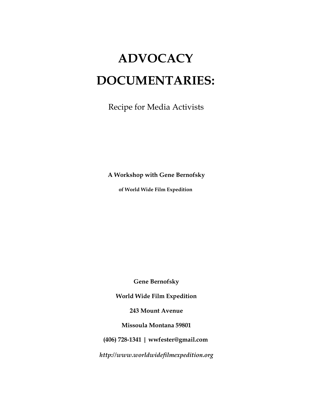# **ADVOCACY DOCUMENTARIES:**

Recipe for Media Activists

**A Workshop with Gene Bernofsky**

**of World Wide Film Expedition**

**Gene Bernofsky** 

**World Wide Film Expedition**

**243 Mount Avenue**

**Missoula Montana 59801**

**(406) 728-1341 | wwfester@gmail.com**

*http://www.worldwidefilmexpedition.org*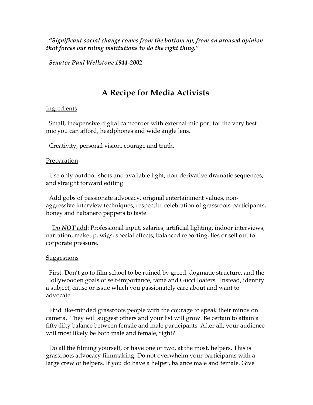**"***Significant social change comes from the bottom up, from an aroused opinion that forces our ruling institutions to do the right thing."*

*Senator Paul Wellstone 1944-2002*

# **A Recipe for Media Activists**

## Ingredients

 Small, inexpensive digital camcorder with external mic port for the very best mic you can afford, headphones and wide angle lens.

Creativity, personal vision, courage and truth.

## Preparation

 Use only outdoor shots and available light, non-derivative dramatic sequences, and straight forward editing

 Add gobs of passionate advocacy, original entertainment values, nonaggressive interview techniques, respectful celebration of grassroots participants, honey and habanero peppers to taste.

 Do *NOT* add: Professional input, salaries, artificial lighting, indoor interviews, narration, makeup, wigs, special effects, balanced reporting, lies or sell out to corporate pressure.

#### **Suggestions**

 First: Don't go to film school to be ruined by greed, dogmatic structure, and the Hollywooden goals of self-importance, fame and Gucci loafers. Instead, identify a subject, cause or issue which you passionately care about and want to advocate.

 Find like-minded grassroots people with the courage to speak their minds on camera. They will suggest others and your list will grow. Be certain to attain a fifty-fifty balance between female and male participants. After all, your audience will most likely be both male and female, right?

 Do all the filming yourself, or have one or two, at the most, helpers. This is grassroots advocacy filmmaking. Do not overwhelm your participants with a large crew of helpers. If you do have a helper, balance male and female. Give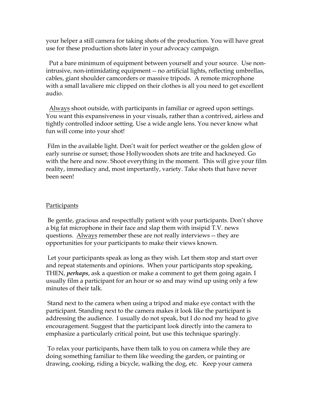your helper a still camera for taking shots of the production. You will have great use for these production shots later in your advocacy campaign.

 Put a bare minimum of equipment between yourself and your source. Use nonintrusive, non-intimidating equipment -- no artificial lights, reflecting umbrellas, cables, giant shoulder camcorders or massive tripods. A remote microphone with a small lavaliere mic clipped on their clothes is all you need to get excellent audio.

 Always shoot outside, with participants in familiar or agreed upon settings. You want this expansiveness in your visuals, rather than a contrived, airless and tightly controlled indoor setting. Use a wide angle lens. You never know what fun will come into your shot!

Film in the available light. Don't wait for perfect weather or the golden glow of early sunrise or sunset; those Hollywooden shots are trite and hackneyed. Go with the here and now. Shoot everything in the moment. This will give your film reality, immediacy and, most importantly, variety. Take shots that have never been seen!

## Participants

Be gentle, gracious and respectfully patient with your participants. Don't shove a big fat microphone in their face and slap them with insipid T.V. news questions. Always remember these are not really interviews -- they are opportunities for your participants to make their views known.

Let your participants speak as long as they wish. Let them stop and start over and repeat statements and opinions. When your participants stop speaking, THEN, *perhaps*, ask a question or make a comment to get them going again. I usually film a participant for an hour or so and may wind up using only a few minutes of their talk.

Stand next to the camera when using a tripod and make eye contact with the participant. Standing next to the camera makes it look like the participant is addressing the audience. I usually do not speak, but I do nod my head to give encouragement. Suggest that the participant look directly into the camera to emphasize a particularly critical point, but use this technique sparingly.

To relax your participants, have them talk to you on camera while they are doing something familiar to them like weeding the garden, or painting or drawing, cooking, riding a bicycle, walking the dog, etc. Keep your camera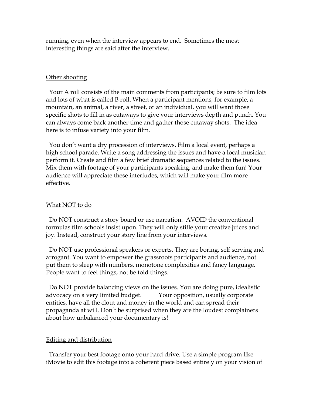running, even when the interview appears to end. Sometimes the most interesting things are said after the interview.

#### Other shooting

 Your A roll consists of the main comments from participants; be sure to film lots and lots of what is called B roll. When a participant mentions, for example, a mountain, an animal, a river, a street, or an individual, you will want those specific shots to fill in as cutaways to give your interviews depth and punch. You can always come back another time and gather those cutaway shots. The idea here is to infuse variety into your film.

 You don't want a dry procession of interviews. Film a local event, perhaps a high school parade. Write a song addressing the issues and have a local musician perform it. Create and film a few brief dramatic sequences related to the issues. Mix them with footage of your participants speaking, and make them fun! Your audience will appreciate these interludes, which will make your film more effective.

#### What NOT to do

 Do NOT construct a story board or use narration. AVOID the conventional formulas film schools insist upon. They will only stifle your creative juices and joy. Instead, construct your story line from your interviews.

 Do NOT use professional speakers or experts. They are boring, self serving and arrogant. You want to empower the grassroots participants and audience, not put them to sleep with numbers, monotone complexities and fancy language. People want to feel things, not be told things.

 Do NOT provide balancing views on the issues. You are doing pure, idealistic advocacy on a very limited budget. Your opposition, usually corporate entities, have all the clout and money in the world and can spread their propaganda at will. Don't be surprised when they are the loudest complainers about how unbalanced your documentary is!

## Editing and distribution

 Transfer your best footage onto your hard drive. Use a simple program like iMovie to edit this footage into a coherent piece based entirely on your vision of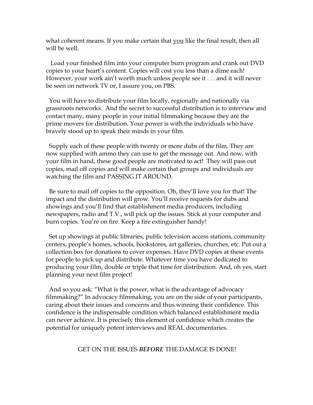what coherent means. If you make certain that you like the final result, then all will be well.

 Load your finished film into your computer burn program and crank out DVD copies to your heart's content. Copies will cost you less than a dime each! However, your work ain't worth much unless people see it . . . and it will never be seen on network TV or, I assure you, on PBS.

 You will have to distribute your film locally, regionally and nationally via grassroots networks. And the secret to successful distribution is to interview and contact many, many people in your initial filmmaking because they are the prime movers for distribution. Your power is with the individuals who have bravely stood up to speak their minds in your film.

 Supply each of these people with twenty or more dubs of the film. They are now supplied with ammo they can use to get the message out. And now, with your film in hand, these good people are motivated to act! They will pass out copies, mail off copies and will make certain that groups and individuals are watching the film and PASSING IT AROUND.

 Be sure to mail off copies to the opposition. Oh, they'll love you for that! The impact and the distribution will grow. You'll receive requests for dubs and showings and you'll find that establishment media producers, including newspapers, radio and T.V., will pick up the issues. Stick at your computer and burn copies. You're on fire. Keep a fire extinguisher handy!

 Set up showings at public libraries, public television access stations, community centers, people's homes, schools, bookstores, art galleries, churches, etc. Put out a collection box for donations to cover expenses. Have DVD copies at these events for people to pick up and distribute. Whatever time you have dedicated to producing your film, double or triple that time for distribution. And, oh yes, start planning your next film project!

 And so you ask: "What is the power, what is the advantage of advocacy filmmaking?" In advocacy filmmaking, you are on the side of your participants, caring about their issues and concerns and thus winning their confidence. This confidence is the indispensable condition which balanced establishment media can never achieve. It is precisely this element of confidence which creates the potential for uniquely potent interviews and REAL documentaries. Î

#### GET ON THE ISSUES *BEFORE* THE DAMAGE IS DONE!